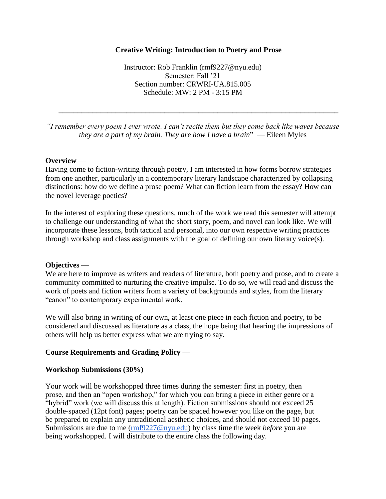### **Creative Writing: Introduction to Poetry and Prose**

Instructor: Rob Franklin (rmf9227@nyu.edu) Semester: Fall '21 Section number: CRWRI-UA.815.005 Schedule: MW: 2 PM - 3:15 PM

*"I remember every poem I ever wrote. I can't recite them but they come back like waves because they are a part of my brain. They are how I have a brain*" — Eileen Myles

**\_\_\_\_\_\_\_\_\_\_\_\_\_\_\_\_\_\_\_\_\_\_\_\_\_\_\_\_\_\_\_\_\_\_\_\_\_\_\_\_\_\_\_\_\_\_\_\_\_\_\_\_\_\_\_\_\_\_\_\_\_\_\_\_\_\_\_\_\_\_\_\_\_\_**

### **Overview** —

Having come to fiction-writing through poetry, I am interested in how forms borrow strategies from one another, particularly in a contemporary literary landscape characterized by collapsing distinctions: how do we define a prose poem? What can fiction learn from the essay? How can the novel leverage poetics?

In the interest of exploring these questions, much of the work we read this semester will attempt to challenge our understanding of what the short story, poem, and novel can look like. We will incorporate these lessons, both tactical and personal, into our own respective writing practices through workshop and class assignments with the goal of defining our own literary voice(s).

### **Objectives** —

We are here to improve as writers and readers of literature, both poetry and prose, and to create a community committed to nurturing the creative impulse. To do so, we will read and discuss the work of poets and fiction writers from a variety of backgrounds and styles, from the literary "canon" to contemporary experimental work.

We will also bring in writing of our own, at least one piece in each fiction and poetry, to be considered and discussed as literature as a class, the hope being that hearing the impressions of others will help us better express what we are trying to say.

### **Course Requirements and Grading Policy —**

### **Workshop Submissions (30%)**

Your work will be workshopped three times during the semester: first in poetry, then prose, and then an "open workshop," for which you can bring a piece in either genre or a "hybrid" work (we will discuss this at length). Fiction submissions should not exceed 25 double-spaced (12pt font) pages; poetry can be spaced however you like on the page, but be prepared to explain any untraditional aesthetic choices, and should not exceed 10 pages. Submissions are due to me [\(rmf9227@nyu.edu\)](mailto:rmf9227@nyu.edu) by class time the week *before* you are being workshopped. I will distribute to the entire class the following day.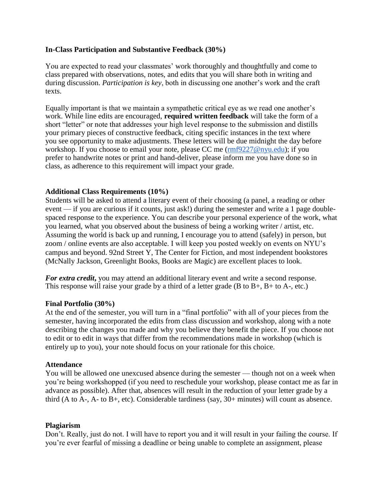### **In-Class Participation and Substantive Feedback (30%)**

You are expected to read your classmates' work thoroughly and thoughtfully and come to class prepared with observations, notes, and edits that you will share both in writing and during discussion. *Participation is key*, both in discussing one another's work and the craft texts.

Equally important is that we maintain a sympathetic critical eye as we read one another's work. While line edits are encouraged, **required written feedback** will take the form of a short "letter" or note that addresses your high level response to the submission and distills your primary pieces of constructive feedback, citing specific instances in the text where you see opportunity to make adjustments. These letters will be due midnight the day before workshop. If you choose to email your note, please CC me [\(rmf9227@nyu.edu\)](mailto:rmf9227@nyu.edu); if you prefer to handwrite notes or print and hand-deliver, please inform me you have done so in class, as adherence to this requirement will impact your grade.

### **Additional Class Requirements (10%)**

Students will be asked to attend a literary event of their choosing (a panel, a reading or other event — if you are curious if it counts, just ask!) during the semester and write a 1 page doublespaced response to the experience. You can describe your personal experience of the work, what you learned, what you observed about the business of being a working writer / artist, etc. Assuming the world is back up and running, I encourage you to attend (safely) in person, but zoom / online events are also acceptable. I will keep you posted weekly on events on NYU's campus and beyond. 92nd Street Y, The Center for Fiction, and most independent bookstores (McNally Jackson, Greenlight Books, Books are Magic) are excellent places to look.

For extra credit, you may attend an additional literary event and write a second response. This response will raise your grade by a third of a letter grade  $(B \text{ to } B+, B+\text{ to } A-, \text{ etc.})$ 

### **Final Portfolio (30%)**

At the end of the semester, you will turn in a "final portfolio" with all of your pieces from the semester, having incorporated the edits from class discussion and workshop, along with a note describing the changes you made and why you believe they benefit the piece. If you choose not to edit or to edit in ways that differ from the recommendations made in workshop (which is entirely up to you), your note should focus on your rationale for this choice.

### **Attendance**

You will be allowed one unexcused absence during the semester — though not on a week when you're being workshopped (if you need to reschedule your workshop, please contact me as far in advance as possible). After that, absences will result in the reduction of your letter grade by a third (A to A-, A- to B+, etc). Considerable tardiness (say, 30+ minutes) will count as absence.

### **Plagiarism**

Don't. Really, just do not. I will have to report you and it will result in your failing the course. If you're ever fearful of missing a deadline or being unable to complete an assignment, please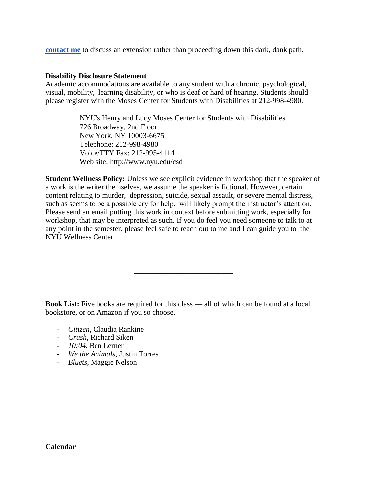**[contact me](mailto:rmf9227@nyu.edu)** to discuss an extension rather than proceeding down this dark, dank path.

#### **Disability Disclosure Statement**

Academic accommodations are available to any student with a chronic, psychological, visual, mobility, learning disability, or who is deaf or hard of hearing. Students should please register with the Moses Center for Students with Disabilities at 212-998-4980.

> NYU's Henry and Lucy Moses Center for Students with Disabilities 726 Broadway, 2nd Floor New York, NY 10003-6675 Telephone: 212-998-4980 Voice/TTY Fax: 212-995-4114 Web site: http://www.nyu.edu/csd

**Student Wellness Policy:** Unless we see explicit evidence in workshop that the speaker of a work is the writer themselves, we assume the speaker is fictional. However, certain content relating to murder, depression, suicide, sexual assault, or severe mental distress, such as seems to be a possible cry for help, will likely prompt the instructor's attention. Please send an email putting this work in context before submitting work, especially for workshop, that may be interpreted as such. If you do feel you need someone to talk to at any point in the semester, please feel safe to reach out to me and I can guide you to the NYU Wellness Center.

**Book List:** Five books are required for this class — all of which can be found at a local bookstore, or on Amazon if you so choose.

\_\_\_\_\_\_\_\_\_\_\_\_\_\_\_\_\_\_\_\_\_\_\_\_\_\_

- *Citizen*, Claudia Rankine
- *Crush*, Richard Siken
- *10:04*, Ben Lerner
- *We the Animals*, Justin Torres
- *Bluets*, Maggie Nelson

### **Calendar**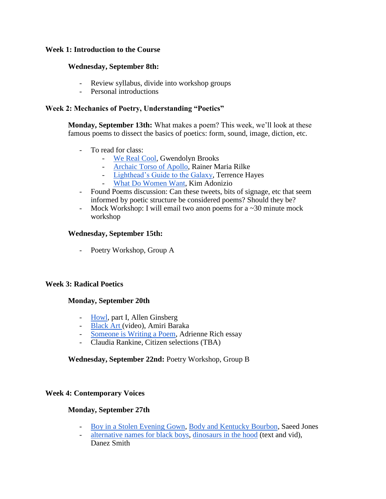## **Week 1: Introduction to the Course**

## **Wednesday, September 8th:**

- Review syllabus, divide into workshop groups
- Personal introductions

## **Week 2: Mechanics of Poetry, Understanding "Poetics"**

**Monday, September 13th:** What makes a poem? This week, we'll look at these famous poems to dissect the basics of poetics: form, sound, image, diction, etc.

- To read for class:
	- [We Real Cool,](https://www.poetryfoundation.org/poetrymagazine/poems/28112/we-real-cool) Gwendolyn Brooks
	- [Archaic Torso of Apollo,](https://poets.org/poem/archaic-torso-apollo) Rainer Maria Rilke
	- [Lighthead's Guide to the Galaxy,](https://poets.org/poem/lightheads-guide-galaxy) Terrence Hayes
	- [What Do Women Want,](https://www.poetryfoundation.org/poems/42520/what-do-women-want) Kim Adonizio
- Found Poems discussion: Can these tweets, bits of signage, etc that seem informed by poetic structure be considered poems? Should they be?
- Mock Workshop: I will email two anon poems for a  $\sim$  30 minute mock workshop

## **Wednesday, September 15th:**

- Poetry Workshop, Group A

### **Week 3: Radical Poetics**

### **Monday, September 20th**

- [Howl,](https://www.poetryfoundation.org/poems/49303/howl) part I, Allen Ginsberg
- [Black Art \(](https://www.youtube.com/watch?v=Dh2P-tlEH_wBlack%20Art,%20Amiri%20Baraka)video), Amiri Baraka
- [Someone is Writing a Poem,](https://www.poetryfoundation.org/articles/69530/someone-is-writing-a-poem) Adrienne Rich essay
- Claudia Rankine, Citizen selections (TBA)

### **Wednesday, September 22nd:** Poetry Workshop, Group B

### **Week 4: Contemporary Voices**

### **Monday, September 27th**

- [Boy in a Stolen Evening Gown,](https://poets.org/poem/boy-stolen-evening-gown) [Body and Kentucky Bourbon,](http://www.divasofverse.com/2015/09/body-kentucky-bourbon-by-saeed-jones.html) Saeed Jones
- [alternative names for black boys,](https://www.poetryfoundation.org/poetrymagazine/poems/56843/alternate-names-for-black-boys) [dinosaurs in the hood](https://www.poetryfoundation.org/poetrymagazine/poems/57585/dinosaurs-in-the-hood) (text and vid), Danez Smith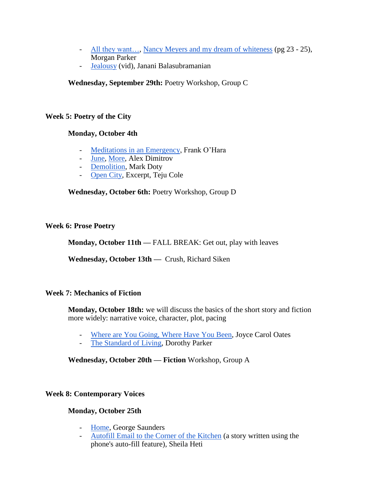- [All they want…,](https://lithub.com/all-they-want-is-my-money-my-pussy-my-blood/) [Nancy Meyers and my dream of whiteness](https://tinhouse.com/wp-content/uploads/2018/11/Magical-Negro-Preview.pdf) (pg 23 25), Morgan Parker
- [Jealousy](https://www.youtube.com/watch?v=jDQvlDJ6gKs) (vid), Janani Balasubramanian

# **Wednesday, September 29th:** Poetry Workshop, Group C

# **Week 5: Poetry of the City**

# **Monday, October 4th**

- [Meditations in an Emergency,](https://www.poetryfoundation.org/poetrymagazine/poems/26538/meditations-in-an-emergency) Frank O'Hara
- [June,](https://www.newyorker.com/magazine/2018/04/30/june) [More,](https://www.newyorker.com/magazine/2020/06/08/more) Alex Dimitrov
- [Demolition,](https://www.poetryfoundation.org/poetrymagazine/browse?volume=158&issue=4&page=26) Mark Doty
- [Open City,](https://www.nytimes.com/2011/02/27/books/review/excerpt-open-city.html) Excerpt, Teju Cole

# **Wednesday, October 6th:** Poetry Workshop, Group D

# **Week 6: Prose Poetry**

**Monday, October 11th —** FALL BREAK: Get out, play with leaves

**Wednesday, October 13th —** Crush, Richard Siken

# **Week 7: Mechanics of Fiction**

**Monday, October 18th:** we will discuss the basics of the short story and fiction more widely: narrative voice, character, plot, pacing

- [Where are You Going, Where Have You Been,](https://www.ndsu.edu/pubweb/~cinichol/CreativeWriting/323/WhereAreYouGoing.htm) Joyce Carol Oates
- [The Standard of Living,](https://www.google.com/url?sa=t&rct=j&q=&esrc=s&source=web&cd=&ved=2ahUKEwiEosXrp7jvAhVLdt8KHWiNAD8QFjAKegQIAhAD&url=http%3A%2F%2Fcareerhigh.pbworks.com%2Fw%2Ffile%2Ffetch%2F102407623%2FThe%2520Standard%2520of%2520Living.pdf&usg=AOvVaw2wCNViyhYIE-F6kgsCxvMV) Dorothy Parker

**Wednesday, October 20th — Fiction** Workshop, Group A

# **Week 8: Contemporary Voices**

# **Monday, October 25th**

- [Home,](https://www.newyorker.com/magazine/2011/06/13/home-george-saunders) George Saunders
- [Autofill Email to the Corner of the Kitchen](https://nationalpost.com/entertainment/books/sheila-heti-autofill-email-to-the-corner-of-the-kitchen) (a story written using the phone's auto-fill feature), Sheila Heti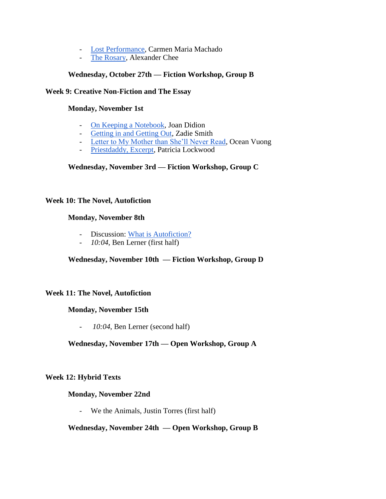- [Lost Performance,](https://granta.com/lost-performance/) Carmen Maria Machado
- [The Rosary,](https://www.newyorker.com/culture/personal-history/the-rosary) Alexander Chee

# **Wednesday, October 27th — Fiction Workshop, Group B**

## **Week 9: Creative Non-Fiction and The Essay**

## **Monday, November 1st**

- [On Keeping a Notebook,](https://accessinghigherground.org/handouts2013/HTCTU%20Alt%20Format%20Manuals/Processing%20PDF%20Sample%20Files/00%20On%20Keeping%20a%20Notebook.pdf) Joan Didion
- [Getting in and Getting Out,](https://harpers.org/archive/2017/07/getting-in-and-out/) Zadie Smith
- [Letter to My Mother than She'll Never Read,](https://www.newyorker.com/culture/personal-history/a-letter-to-my-mother-that-she-will-never-read) Ocean Vuong
- [Priestdaddy, Excerpt,](https://www.thecut.com/2017/05/patricia-lockwood-priestdaddy-memoir-excerpt.html) Patricia Lockwood

## **Wednesday, November 3rd — Fiction Workshop, Group C**

### **Week 10: The Novel, Autofiction**

## **Monday, November 8th**

- Discussion: [What is Autofiction?](https://www.vulture.com/2018/05/how-auto-is-autofiction.html)
- *10:04*, Ben Lerner (first half)

# **Wednesday, November 10th — Fiction Workshop, Group D**

### **Week 11: The Novel, Autofiction**

### **Monday, November 15th**

- *10:04*, Ben Lerner (second half)

# **Wednesday, November 17th — Open Workshop, Group A**

### **Week 12: Hybrid Texts**

### **Monday, November 22nd**

- We the Animals, Justin Torres (first half)

### **Wednesday, November 24th — Open Workshop, Group B**